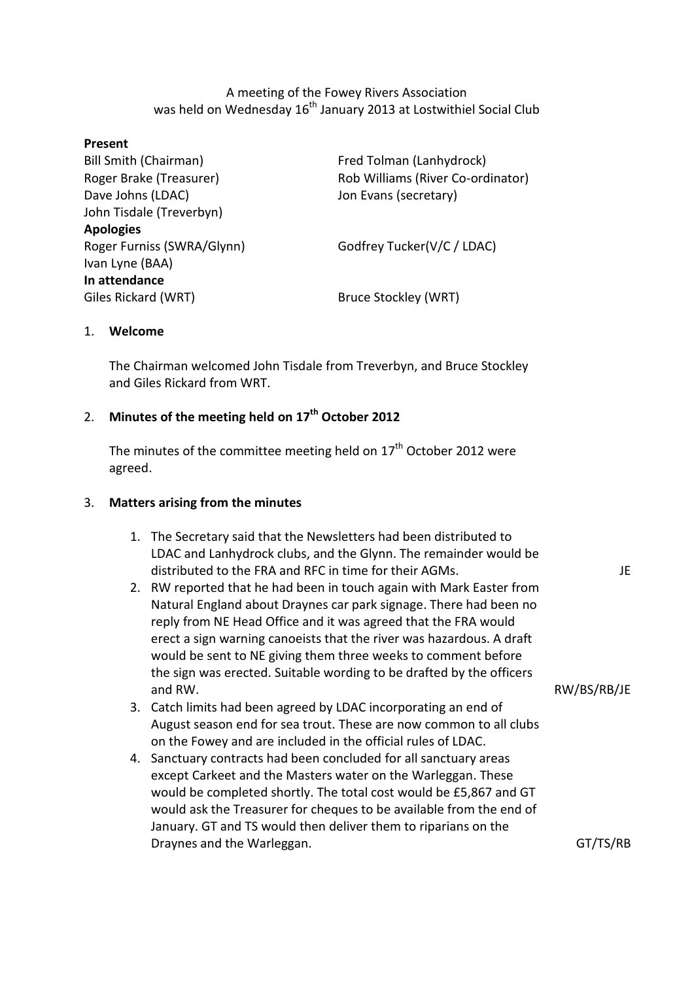A meeting of the Fowey Rivers Association was held on Wednesday 16<sup>th</sup> January 2013 at Lostwithiel Social Club

| Present                      |                                   |
|------------------------------|-----------------------------------|
| <b>Bill Smith (Chairman)</b> | Fred Tolman (Lanhydrock)          |
| Roger Brake (Treasurer)      | Rob Williams (River Co-ordinator) |
| Dave Johns (LDAC)            | Jon Evans (secretary)             |
| John Tisdale (Treverbyn)     |                                   |
| <b>Apologies</b>             |                                   |
| Roger Furniss (SWRA/Glynn)   | Godfrey Tucker(V/C / LDAC)        |
| Ivan Lyne (BAA)              |                                   |
| In attendance                |                                   |
| Giles Rickard (WRT)          | Bruce Stockley (WRT)              |

#### 1. **Welcome**

The Chairman welcomed John Tisdale from Treverbyn, and Bruce Stockley and Giles Rickard from WRT.

# 2. **Minutes of the meeting held on 17 th October 2012**

The minutes of the committee meeting held on  $17^{\text{th}}$  October 2012 were agreed.

### 3. **Matters arising from the minutes**

- 1. The Secretary said that the Newsletters had been distributed to LDAC and Lanhydrock clubs, and the Glynn. The remainder would be distributed to the FRA and RFC in time for their AGMs.
- 2. RW reported that he had been in touch again with Mark Easter from Natural England about Draynes car park signage. There had been no reply from NE Head Office and it was agreed that the FRA would erect a sign warning canoeists that the river was hazardous. A draft would be sent to NE giving them three weeks to comment before the sign was erected. Suitable wording to be drafted by the officers and RW.
- 3. Catch limits had been agreed by LDAC incorporating an end of August season end for sea trout. These are now common to all clubs on the Fowey and are included in the official rules of LDAC.
- 4. Sanctuary contracts had been concluded for all sanctuary areas except Carkeet and the Masters water on the Warleggan. These would be completed shortly. The total cost would be £5,867 and GT would ask the Treasurer for cheques to be available from the end of January. GT and TS would then deliver them to riparians on the Draynes and the Warleggan.

JE

GT/TS/RB

RW/BS/RB/JE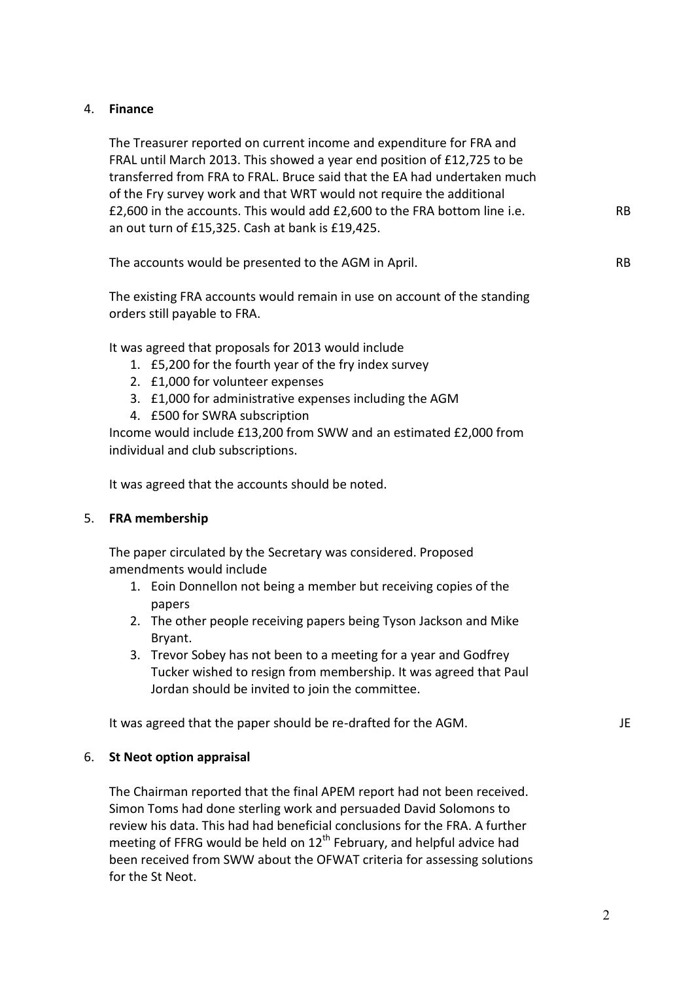# 4. **Finance**

The Treasurer reported on current income and expenditure for FRA and FRAL until March 2013. This showed a year end position of £12,725 to be transferred from FRA to FRAL. Bruce said that the EA had undertaken much of the Fry survey work and that WRT would not require the additional £2,600 in the accounts. This would add £2,600 to the FRA bottom line i.e. an out turn of £15,325. Cash at bank is £19,425.

| The accounts would be presented to the AGM in April. |  |
|------------------------------------------------------|--|
|------------------------------------------------------|--|

The existing FRA accounts would remain in use on account of the standing orders still payable to FRA.

It was agreed that proposals for 2013 would include

- 1. £5,200 for the fourth year of the fry index survey
- 2. £1,000 for volunteer expenses
- 3. £1,000 for administrative expenses including the AGM
- 4. £500 for SWRA subscription

Income would include £13,200 from SWW and an estimated £2,000 from individual and club subscriptions.

It was agreed that the accounts should be noted.

#### 5. **FRA membership**

The paper circulated by the Secretary was considered. Proposed amendments would include

- 1. Eoin Donnellon not being a member but receiving copies of the papers
- 2. The other people receiving papers being Tyson Jackson and Mike Bryant.
- 3. Trevor Sobey has not been to a meeting for a year and Godfrey Tucker wished to resign from membership. It was agreed that Paul Jordan should be invited to join the committee.

It was agreed that the paper should be re-drafted for the AGM.

### 6. **St Neot option appraisal**

The Chairman reported that the final APEM report had not been received. Simon Toms had done sterling work and persuaded David Solomons to review his data. This had had beneficial conclusions for the FRA. A further meeting of FFRG would be held on  $12^{th}$  February, and helpful advice had been received from SWW about the OFWAT criteria for assessing solutions for the St Neot.

RB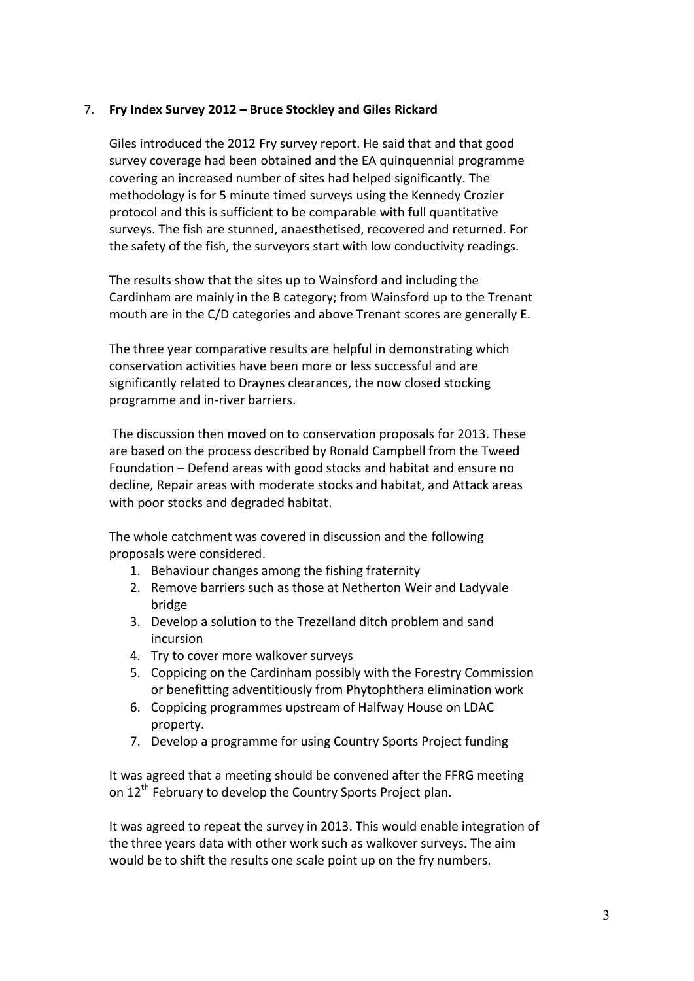# 7. **Fry Index Survey 2012 – Bruce Stockley and Giles Rickard**

Giles introduced the 2012 Fry survey report. He said that and that good survey coverage had been obtained and the EA quinquennial programme covering an increased number of sites had helped significantly. The methodology is for 5 minute timed surveys using the Kennedy Crozier protocol and this is sufficient to be comparable with full quantitative surveys. The fish are stunned, anaesthetised, recovered and returned. For the safety of the fish, the surveyors start with low conductivity readings.

The results show that the sites up to Wainsford and including the Cardinham are mainly in the B category; from Wainsford up to the Trenant mouth are in the C/D categories and above Trenant scores are generally E.

The three year comparative results are helpful in demonstrating which conservation activities have been more or less successful and are significantly related to Draynes clearances, the now closed stocking programme and in-river barriers.

The discussion then moved on to conservation proposals for 2013. These are based on the process described by Ronald Campbell from the Tweed Foundation – Defend areas with good stocks and habitat and ensure no decline, Repair areas with moderate stocks and habitat, and Attack areas with poor stocks and degraded habitat.

The whole catchment was covered in discussion and the following proposals were considered.

- 1. Behaviour changes among the fishing fraternity
- 2. Remove barriers such as those at Netherton Weir and Ladyvale bridge
- 3. Develop a solution to the Trezelland ditch problem and sand incursion
- 4. Try to cover more walkover surveys
- 5. Coppicing on the Cardinham possibly with the Forestry Commission or benefitting adventitiously from Phytophthera elimination work
- 6. Coppicing programmes upstream of Halfway House on LDAC property.
- 7. Develop a programme for using Country Sports Project funding

It was agreed that a meeting should be convened after the FFRG meeting on 12<sup>th</sup> February to develop the Country Sports Project plan.

It was agreed to repeat the survey in 2013. This would enable integration of the three years data with other work such as walkover surveys. The aim would be to shift the results one scale point up on the fry numbers.